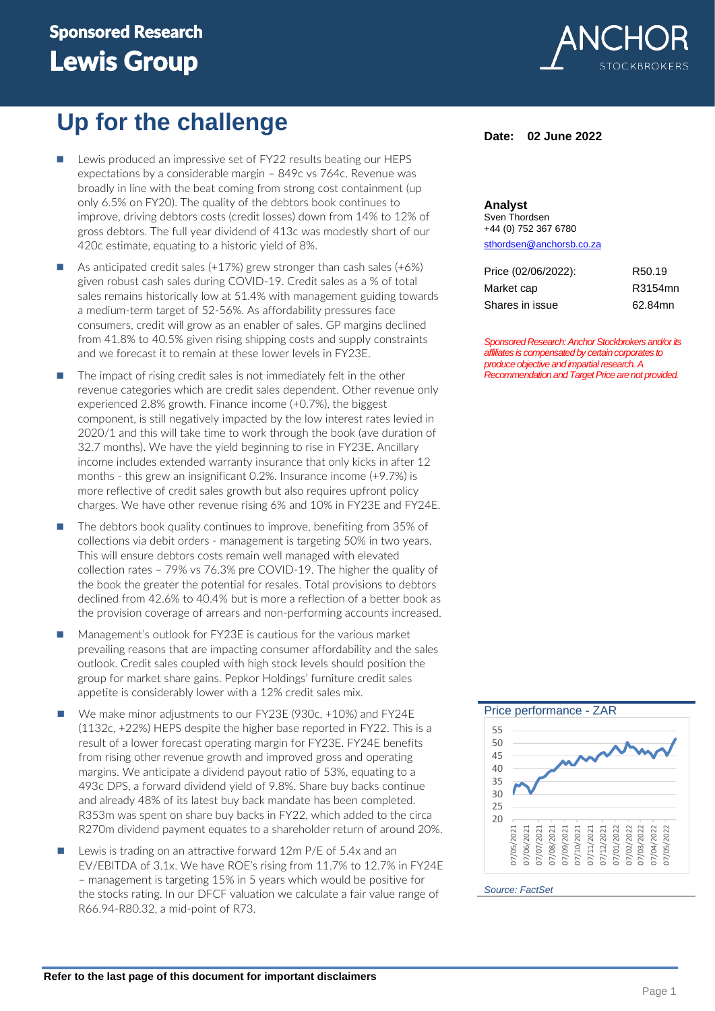# Sponsored Research Lewis Group

# **Up for the challenge**

- Lewis produced an impressive set of FY22 results beating our HEPS expectations by a considerable margin – 849c vs 764c. Revenue was broadly in line with the beat coming from strong cost containment (up only 6.5% on FY20). The quality of the debtors book continues to improve, driving debtors costs (credit losses) down from 14% to 12% of gross debtors. The full year dividend of 413c was modestly short of our 420c estimate, equating to a historic yield of 8%.
- As anticipated credit sales  $(+17%)$  grew stronger than cash sales  $(+6%)$ given robust cash sales during COVID-19. Credit sales as a % of total sales remains historically low at 51.4% with management guiding towards a medium-term target of 52-56%. As affordability pressures face consumers, credit will grow as an enabler of sales. GP margins declined from 41.8% to 40.5% given rising shipping costs and supply constraints and we forecast it to remain at these lower levels in FY23E.
- The impact of rising credit sales is not immediately felt in the other revenue categories which are credit sales dependent. Other revenue only experienced 2.8% growth. Finance income (+0.7%), the biggest component, is still negatively impacted by the low interest rates levied in 2020/1 and this will take time to work through the book (ave duration of 32.7 months). We have the yield beginning to rise in FY23E. Ancillary income includes extended warranty insurance that only kicks in after 12 months - this grew an insignificant 0.2%. Insurance income (+9.7%) is more reflective of credit sales growth but also requires upfront policy charges. We have other revenue rising 6% and 10% in FY23E and FY24E.
- The debtors book quality continues to improve, benefiting from 35% of collections via debit orders - management is targeting 50% in two years. This will ensure debtors costs remain well managed with elevated collection rates – 79% vs 76.3% pre COVID-19. The higher the quality of the book the greater the potential for resales. Total provisions to debtors declined from 42.6% to 40.4% but is more a reflection of a better book as the provision coverage of arrears and non-performing accounts increased.
- Management's outlook for FY23E is cautious for the various market prevailing reasons that are impacting consumer affordability and the sales outlook. Credit sales coupled with high stock levels should position the group for market share gains. Pepkor Holdings' furniture credit sales appetite is considerably lower with a 12% credit sales mix.
- ◼ We make minor adjustments to our FY23E (930c, +10%) and FY24E (1132c, +22%) HEPS despite the higher base reported in FY22. This is a result of a lower forecast operating margin for FY23E. FY24E benefits from rising other revenue growth and improved gross and operating margins. We anticipate a dividend payout ratio of 53%, equating to a 493c DPS, a forward dividend yield of 9.8%. Share buy backs continue and already 48% of its latest buy back mandate has been completed. R353m was spent on share buy backs in FY22, which added to the circa R270m dividend payment equates to a shareholder return of around 20%.
- Lewis is trading on an attractive forward 12m P/E of 5.4x and an EV/EBITDA of 3.1x. We have ROE's rising from 11.7% to 12.7% in FY24E – management is targeting 15% in 5 years which would be positive for the stocks rating. In our DFCF valuation we calculate a fair value range of R66.94-R80.32, a mid-point of R73.



## **Date: 02 June 2022**

### **Analyst** Sven Thordsen

+44 (0) 752 367 6780 [sthordsen@anchorsb.co.za](mailto:sthordsen@anchorsb.co.za)

| Price (02/06/2022): | R <sub>50.19</sub> |
|---------------------|--------------------|
| Market cap          | R3154mn            |
| Shares in issue     | 62.84mn            |

*Sponsored Research: Anchor Stockbrokers and/or its affiliates is compensated by certain corporates to produce objective and impartial research. A Recommendation and Target Price arenot provided.* 



*Source: FactSet*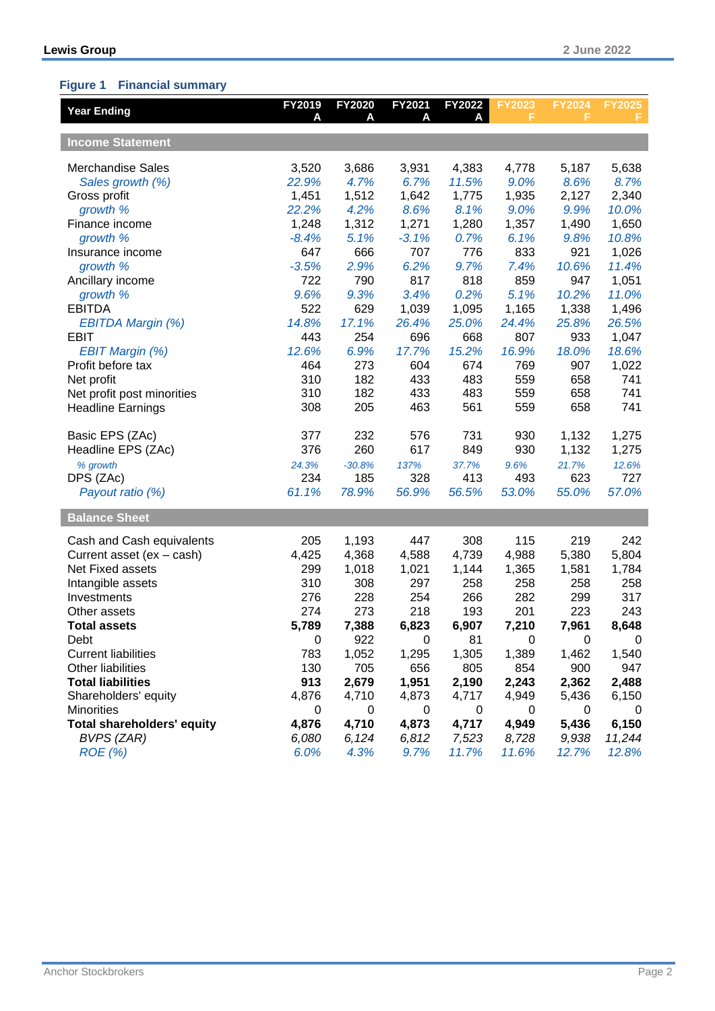## **Figure 1 Financial summary**

| <b>Year Ending</b>                | FY2019  | FY2020<br>A | FY2021<br>A | FY2022<br>А | <b>FY2023</b><br>F | <b>FY2024</b><br>F | <b>FY2025</b><br>F |
|-----------------------------------|---------|-------------|-------------|-------------|--------------------|--------------------|--------------------|
|                                   |         |             |             |             |                    |                    |                    |
| <b>Income Statement</b>           |         |             |             |             |                    |                    |                    |
| <b>Merchandise Sales</b>          | 3,520   | 3,686       | 3,931       | 4,383       | 4,778              | 5,187              | 5,638              |
| Sales growth (%)                  | 22.9%   | 4.7%        | 6.7%        | 11.5%       | 9.0%               | 8.6%               | 8.7%               |
| Gross profit                      | 1,451   | 1,512       | 1,642       | 1,775       | 1,935              | 2,127              | 2,340              |
| growth %                          | 22.2%   | 4.2%        | 8.6%        | 8.1%        | 9.0%               | 9.9%               | 10.0%              |
| Finance income                    | 1,248   | 1,312       | 1,271       | 1,280       | 1,357              | 1,490              | 1,650              |
| growth %                          | $-8.4%$ | 5.1%        | $-3.1%$     | 0.7%        | 6.1%               | 9.8%               | 10.8%              |
| Insurance income                  | 647     | 666         | 707         | 776         | 833                | 921                | 1,026              |
| growth %                          | $-3.5%$ | 2.9%        | 6.2%        | 9.7%        | 7.4%               | 10.6%              | 11.4%              |
| Ancillary income                  | 722     | 790         | 817         | 818         | 859                | 947                | 1,051              |
| growth %                          | 9.6%    | 9.3%        | 3.4%        | 0.2%        | 5.1%               | 10.2%              | 11.0%              |
| <b>EBITDA</b>                     | 522     | 629         | 1,039       | 1,095       | 1,165              | 1,338              | 1,496              |
| EBITDA Margin (%)                 | 14.8%   | 17.1%       | 26.4%       | 25.0%       | 24.4%              | 25.8%              | 26.5%              |
| <b>EBIT</b>                       | 443     | 254         | 696         | 668         | 807                | 933                | 1,047              |
| <b>EBIT Margin (%)</b>            | 12.6%   | 6.9%        | 17.7%       | 15.2%       | 16.9%              | 18.0%              | 18.6%              |
| Profit before tax                 | 464     | 273         | 604         | 674         | 769                | 907                | 1,022              |
| Net profit                        | 310     | 182         | 433         | 483         | 559                | 658                | 741                |
| Net profit post minorities        | 310     | 182         | 433         | 483         | 559                | 658                | 741                |
| <b>Headline Earnings</b>          | 308     | 205         | 463         | 561         | 559                | 658                | 741                |
| Basic EPS (ZAc)                   | 377     | 232         | 576         | 731         | 930                | 1,132              | 1,275              |
| Headline EPS (ZAc)                | 376     | 260         | 617         | 849         | 930                | 1,132              | 1,275              |
| % growth                          | 24.3%   | $-30.8%$    | 137%        | 37.7%       | 9.6%               | 21.7%              | 12.6%              |
| DPS (ZAc)                         | 234     | 185         | 328         | 413         | 493                | 623                | 727                |
| Payout ratio (%)                  | 61.1%   | 78.9%       | 56.9%       | 56.5%       | 53.0%              | 55.0%              | 57.0%              |
| <b>Balance Sheet</b>              |         |             |             |             |                    |                    |                    |
| Cash and Cash equivalents         | 205     | 1,193       | 447         | 308         | 115                | 219                | 242                |
| Current asset (ex - cash)         | 4,425   | 4,368       | 4,588       | 4,739       | 4,988              | 5,380              | 5,804              |
| Net Fixed assets                  | 299     | 1,018       | 1,021       | 1,144       | 1,365              | 1,581              | 1,784              |
| Intangible assets                 | 310     | 308         | 297         | 258         | 258                | 258                | 258                |
| Investments                       | 276     | 228         | 254         | 266         | 282                | 299                | 317                |
| Other assets                      | 274     | 273         | 218         | 193         | 201                | 223                | 243                |
| <b>Total assets</b>               | 5,789   | 7,388       | 6,823       | 6,907       | 7,210              | 7,961              | 8,648              |
| Debt                              | 0       | 922         | 0           | 81          | 0                  | 0                  | 0                  |
| <b>Current liabilities</b>        | 783     | 1,052       | 1,295       | 1,305       | 1,389              | 1,462              | 1,540              |
| Other liabilities                 | 130     | 705         | 656         | 805         | 854                | 900                | 947                |
| <b>Total liabilities</b>          | 913     | 2,679       | 1,951       | 2,190       | 2,243              | 2,362              | 2,488              |
| Shareholders' equity              | 4,876   | 4,710       | 4,873       | 4,717       | 4,949              | 5,436              | 6,150              |
| <b>Minorities</b>                 | 0       | 0           | 0           | 0           | 0                  | 0                  | 0                  |
| <b>Total shareholders' equity</b> | 4,876   | 4,710       | 4,873       | 4,717       | 4,949              | 5,436              | 6,150              |
| <b>BVPS (ZAR)</b>                 | 6,080   | 6,124       | 6,812       | 7,523       | 8,728              | 9,938              | 11,244             |
| $ROE$ (%)                         | 6.0%    | 4.3%        | 9.7%        | 11.7%       | 11.6%              | 12.7%              | 12.8%              |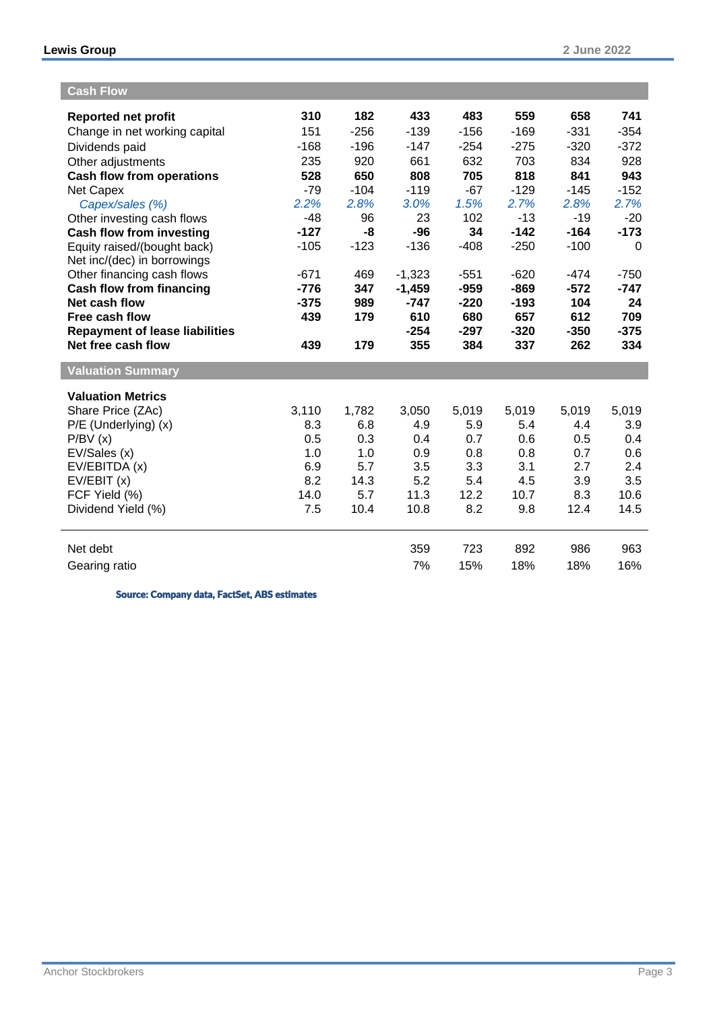| <b>Cash Flow</b>                                            |        |        |               |               |               |               |               |
|-------------------------------------------------------------|--------|--------|---------------|---------------|---------------|---------------|---------------|
| <b>Reported net profit</b>                                  | 310    | 182    | 433           | 483           | 559           | 658           | 741           |
| Change in net working capital                               | 151    | $-256$ | $-139$        | $-156$        | $-169$        | $-331$        | $-354$        |
| Dividends paid                                              | $-168$ | $-196$ | $-147$        | $-254$        | $-275$        | $-320$        | $-372$        |
| Other adjustments                                           | 235    | 920    | 661           | 632           | 703           | 834           | 928           |
| <b>Cash flow from operations</b>                            | 528    | 650    | 808           | 705           | 818           | 841           | 943           |
| <b>Net Capex</b>                                            | $-79$  | $-104$ | $-119$        | $-67$         | $-129$        | $-145$        | $-152$        |
| Capex/sales (%)                                             | 2.2%   | 2.8%   | 3.0%          | 1.5%          | 2.7%          | 2.8%          | 2.7%          |
| Other investing cash flows                                  | $-48$  | 96     | 23            | 102           | $-13$         | $-19$         | $-20$         |
| <b>Cash flow from investing</b>                             | $-127$ | -8     | $-96$         | 34            | $-142$        | $-164$        | $-173$        |
| Equity raised/(bought back)                                 | $-105$ | $-123$ | $-136$        | $-408$        | $-250$        | $-100$        | $\Omega$      |
| Net inc/(dec) in borrowings                                 |        |        |               |               |               |               |               |
| Other financing cash flows                                  | $-671$ | 469    | $-1,323$      | $-551$        | $-620$        | $-474$        | $-750$        |
| <b>Cash flow from financing</b>                             | $-776$ | 347    | $-1,459$      | $-959$        | $-869$        | $-572$        | $-747$        |
| Net cash flow                                               | $-375$ | 989    | $-747$        | $-220$        | $-193$        | 104           | 24            |
| Free cash flow                                              | 439    | 179    | 610           | 680           | 657           | 612           | 709           |
| <b>Repayment of lease liabilities</b><br>Net free cash flow | 439    | 179    | $-254$<br>355 | $-297$<br>384 | $-320$<br>337 | $-350$<br>262 | $-375$<br>334 |
|                                                             |        |        |               |               |               |               |               |
| <b>Valuation Summary</b>                                    |        |        |               |               |               |               |               |
| <b>Valuation Metrics</b>                                    |        |        |               |               |               |               |               |
| Share Price (ZAc)                                           | 3,110  | 1,782  | 3,050         | 5,019         | 5,019         | 5,019         | 5,019         |
| P/E (Underlying) (x)                                        | 8.3    | 6.8    | 4.9           | 5.9           | 5.4           | 4.4           | 3.9           |
| P/BV(x)                                                     | 0.5    | 0.3    | 0.4           | 0.7           | 0.6           | 0.5           | 0.4           |
| EV/Sales (x)                                                | 1.0    | 1.0    | 0.9           | 0.8           | 0.8           | 0.7           | 0.6           |
| EV/EBITDA (x)                                               | 6.9    | 5.7    | 3.5           | 3.3           | 3.1           | 2.7           | 2.4           |
| EV/EBIT(x)                                                  | 8.2    | 14.3   | 5.2           | 5.4           | 4.5           | 3.9           | 3.5           |
| FCF Yield (%)                                               | 14.0   | 5.7    | 11.3          | 12.2          | 10.7          | 8.3           | 10.6          |
| Dividend Yield (%)                                          | 7.5    | 10.4   | 10.8          | 8.2           | 9.8           | 12.4          | 14.5          |
| Net debt                                                    |        |        | 359           | 723           | 892           | 986           | 963           |
| Gearing ratio                                               |        |        | 7%            | 15%           | 18%           | 18%           | 16%           |

Source: Company data, FactSet, ABS estimates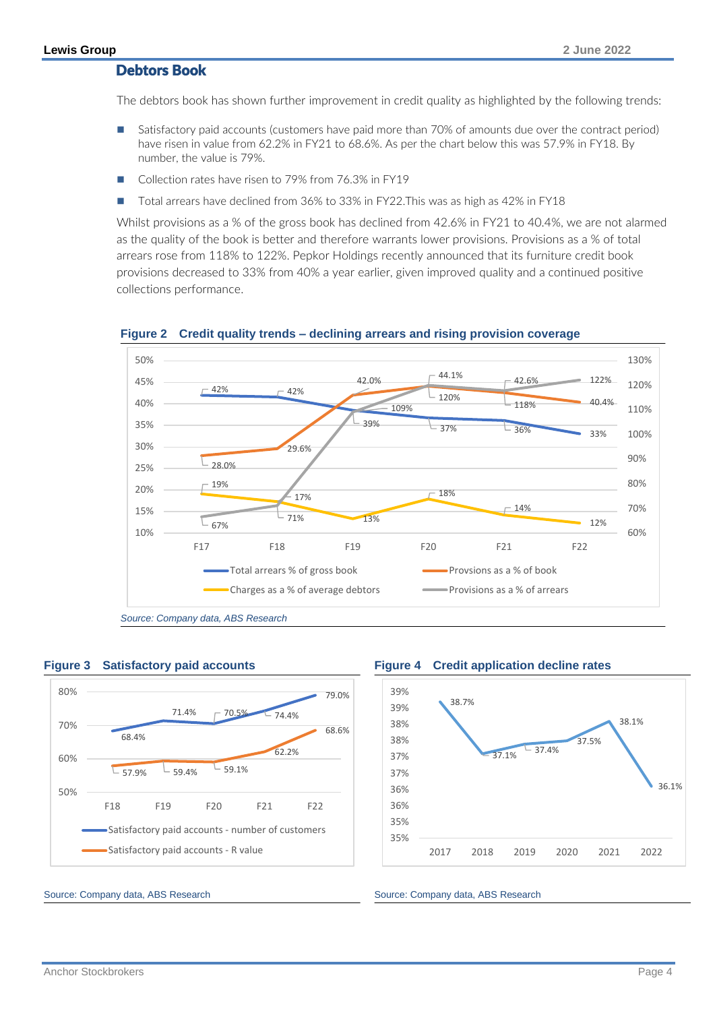# Debtors Book

The debtors book has shown further improvement in credit quality as highlighted by the following trends:

- Satisfactory paid accounts (customers have paid more than 70% of amounts due over the contract period) have risen in value from 62.2% in FY21 to 68.6%. As per the chart below this was 57.9% in FY18. By number, the value is 79%.
- Collection rates have risen to 79% from 76.3% in FY19
- ◼ Total arrears have declined from 36% to 33% in FY22.This was as high as 42% in FY18

Whilst provisions as a % of the gross book has declined from 42.6% in FY21 to 40.4%, we are not alarmed as the quality of the book is better and therefore warrants lower provisions. Provisions as a % of total arrears rose from 118% to 122%. Pepkor Holdings recently announced that its furniture credit book provisions decreased to 33% from 40% a year earlier, given improved quality and a continued positive collections performance.





*Source: Company data, ABS Research*





Source: Company data, ABS Research Source: Company data, ABS Research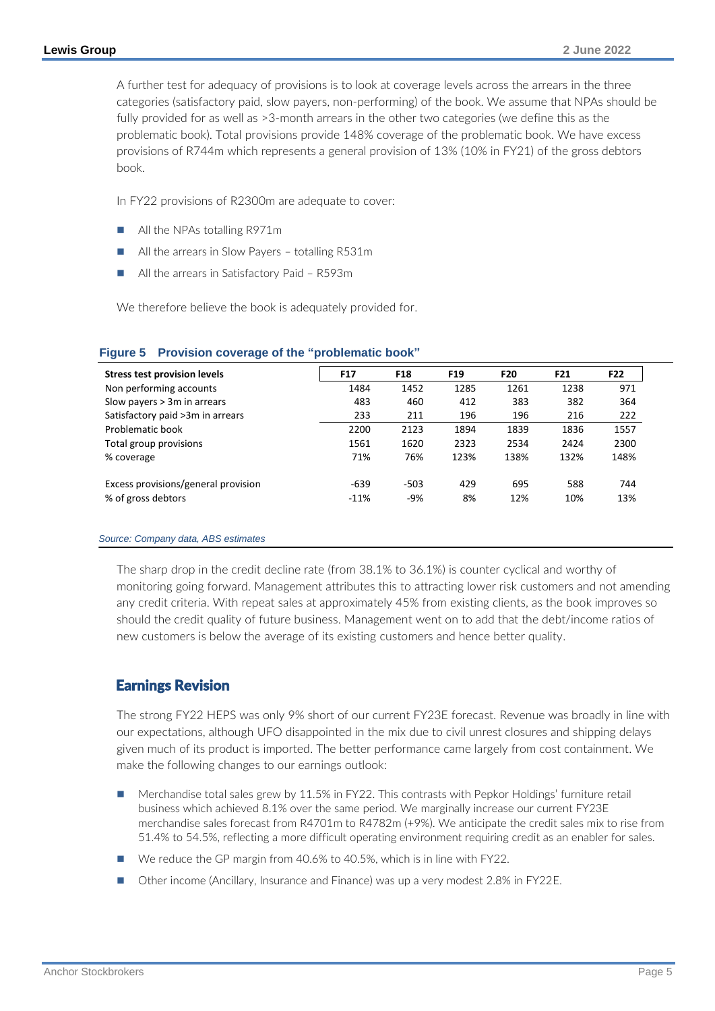A further test for adequacy of provisions is to look at coverage levels across the arrears in the three categories (satisfactory paid, slow payers, non-performing) of the book. We assume that NPAs should be fully provided for as well as >3-month arrears in the other two categories (we define this as the problematic book). Total provisions provide 148% coverage of the problematic book. We have excess provisions of R744m which represents a general provision of 13% (10% in FY21) of the gross debtors book.

In FY22 provisions of R2300m are adequate to cover:

- All the NPAs totalling R971m
- All the arrears in Slow Payers totalling R531m
- All the arrears in Satisfactory Paid R593m

We therefore believe the book is adequately provided for.

| <b>Stress test provision levels</b> | F17    | F18    | F <sub>19</sub> | F20  | F21  | F22  |
|-------------------------------------|--------|--------|-----------------|------|------|------|
| Non performing accounts             | 1484   | 1452   | 1285            | 1261 | 1238 | 971  |
| Slow payers $> 3m$ in arrears       | 483    | 460    | 412             | 383  | 382  | 364  |
| Satisfactory paid >3m in arrears    | 233    | 211    | 196             | 196  | 216  | 222  |
| Problematic book                    | 2200   | 2123   | 1894            | 1839 | 1836 | 1557 |
| Total group provisions              | 1561   | 1620   | 2323            | 2534 | 2424 | 2300 |
| % coverage                          | 71%    | 76%    | 123%            | 138% | 132% | 148% |
| Excess provisions/general provision | $-639$ | $-503$ | 429             | 695  | 588  | 744  |
| % of gross debtors                  | $-11%$ | $-9%$  | 8%              | 12%  | 10%  | 13%  |

### **Figure 5 Provision coverage of the "problematic book"**

### *Source: Company data, ABS estimates*

The sharp drop in the credit decline rate (from 38.1% to 36.1%) is counter cyclical and worthy of monitoring going forward. Management attributes this to attracting lower risk customers and not amending any credit criteria. With repeat sales at approximately 45% from existing clients, as the book improves so should the credit quality of future business. Management went on to add that the debt/income ratios of new customers is below the average of its existing customers and hence better quality.

# Earnings Revision

The strong FY22 HEPS was only 9% short of our current FY23E forecast. Revenue was broadly in line with our expectations, although UFO disappointed in the mix due to civil unrest closures and shipping delays given much of its product is imported. The better performance came largely from cost containment. We make the following changes to our earnings outlook:

- Merchandise total sales grew by 11.5% in FY22. This contrasts with Pepkor Holdings' furniture retail business which achieved 8.1% over the same period. We marginally increase our current FY23E merchandise sales forecast from R4701m to R4782m (+9%). We anticipate the credit sales mix to rise from 51.4% to 54.5%, reflecting a more difficult operating environment requiring credit as an enabler for sales.
- We reduce the GP margin from 40.6% to 40.5%, which is in line with FY22.
- Other income (Ancillary, Insurance and Finance) was up a very modest 2.8% in FY22E.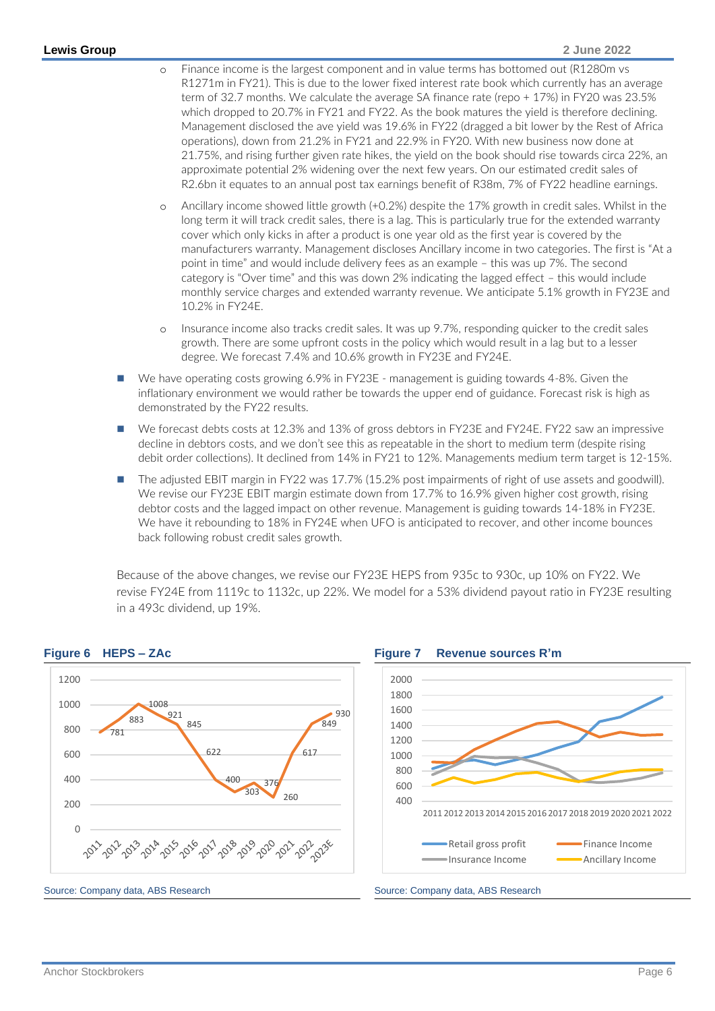- o Finance income is the largest component and in value terms has bottomed out (R1280m vs R1271m in FY21). This is due to the lower fixed interest rate book which currently has an average term of 32.7 months. We calculate the average SA finance rate (repo + 17%) in FY20 was 23.5% which dropped to 20.7% in FY21 and FY22. As the book matures the yield is therefore declining. Management disclosed the ave yield was 19.6% in FY22 (dragged a bit lower by the Rest of Africa operations), down from 21.2% in FY21 and 22.9% in FY20. With new business now done at 21.75%, and rising further given rate hikes, the yield on the book should rise towards circa 22%, an approximate potential 2% widening over the next few years. On our estimated credit sales of R2.6bn it equates to an annual post tax earnings benefit of R38m, 7% of FY22 headline earnings.
- o Ancillary income showed little growth (+0.2%) despite the 17% growth in credit sales. Whilst in the long term it will track credit sales, there is a lag. This is particularly true for the extended warranty cover which only kicks in after a product is one year old as the first year is covered by the manufacturers warranty. Management discloses Ancillary income in two categories. The first is "At a point in time" and would include delivery fees as an example – this was up 7%. The second category is "Over time" and this was down 2% indicating the lagged effect – this would include monthly service charges and extended warranty revenue. We anticipate 5.1% growth in FY23E and 10.2% in FY24E.
- o Insurance income also tracks credit sales. It was up 9.7%, responding quicker to the credit sales growth. There are some upfront costs in the policy which would result in a lag but to a lesser degree. We forecast 7.4% and 10.6% growth in FY23E and FY24E.
- We have operating costs growing 6.9% in FY23E management is guiding towards 4-8%. Given the inflationary environment we would rather be towards the upper end of guidance. Forecast risk is high as demonstrated by the FY22 results.
- We forecast debts costs at 12.3% and 13% of gross debtors in FY23E and FY24E. FY22 saw an impressive decline in debtors costs, and we don't see this as repeatable in the short to medium term (despite rising debit order collections). It declined from 14% in FY21 to 12%. Managements medium term target is 12-15%.
- The adjusted EBIT margin in FY22 was 17.7% (15.2% post impairments of right of use assets and goodwill). We revise our FY23E EBIT margin estimate down from 17.7% to 16.9% given higher cost growth, rising debtor costs and the lagged impact on other revenue. Management is guiding towards 14-18% in FY23E. We have it rebounding to 18% in FY24E when UFO is anticipated to recover, and other income bounces back following robust credit sales growth.

Because of the above changes, we revise our FY23E HEPS from 935c to 930c, up 10% on FY22. We revise FY24E from 1119c to 1132c, up 22%. We model for a 53% dividend payout ratio in FY23E resulting in a 493c dividend, up 19%.

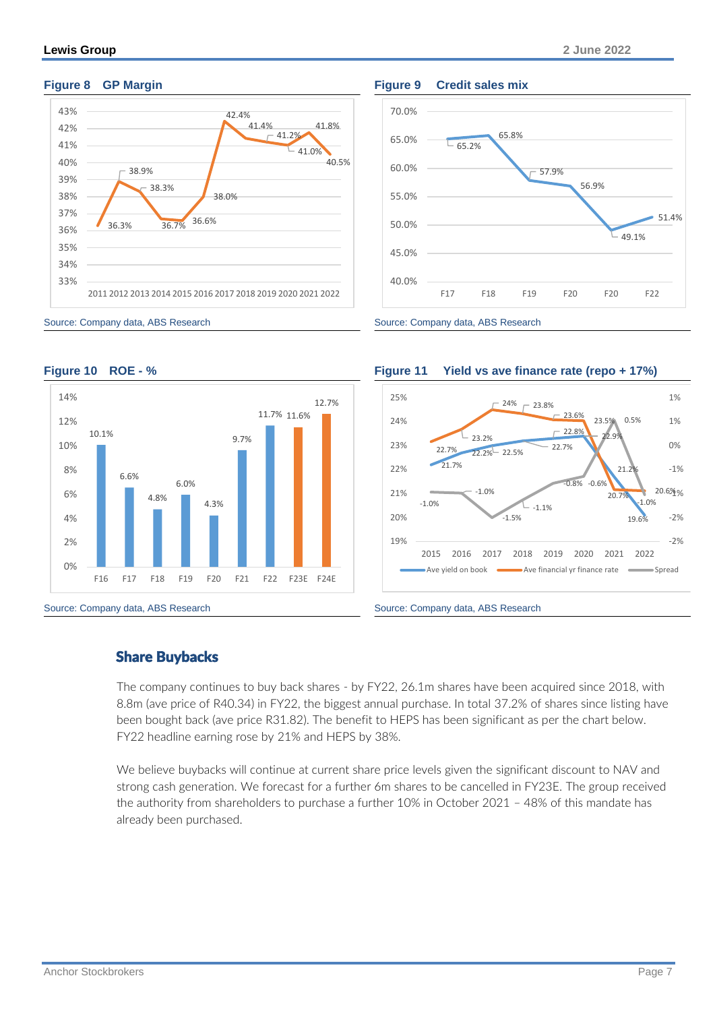

# **Figure 8 GP Margin Figure 9 Credit sales mix**





Source: Company data, ABS Research Source: Company data, ABS Research





# Share Buybacks

The company continues to buy back shares - by FY22, 26.1m shares have been acquired since 2018, with 8.8m (ave price of R40.34) in FY22, the biggest annual purchase. In total 37.2% of shares since listing have been bought back (ave price R31.82). The benefit to HEPS has been significant as per the chart below. FY22 headline earning rose by 21% and HEPS by 38%.

We believe buybacks will continue at current share price levels given the significant discount to NAV and strong cash generation. We forecast for a further 6m shares to be cancelled in FY23E. The group received the authority from shareholders to purchase a further 10% in October 2021 – 48% of this mandate has already been purchased.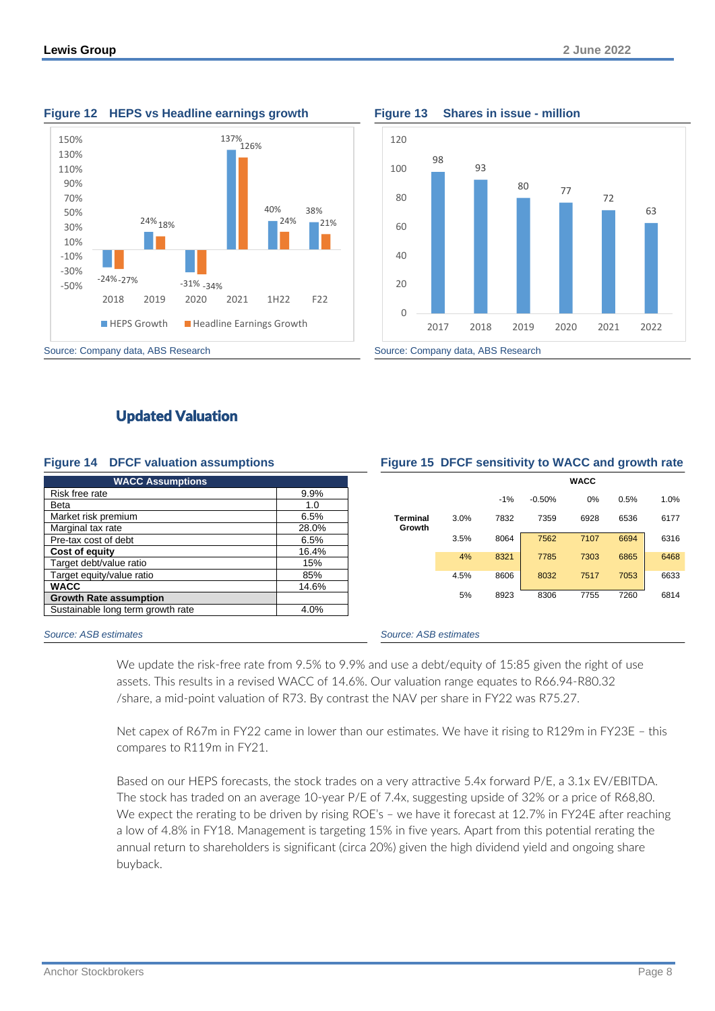



# Updated Valuation

### **Figure 14 DFCF valuation assumptions Figure 15 DFCF sensitivity to WACC and growth rate**

| <b>WACC Assumptions</b>           |       |
|-----------------------------------|-------|
| Risk free rate                    | 9.9%  |
| Beta                              | 1.0   |
| Market risk premium               | 6.5%  |
| Marginal tax rate                 | 28.0% |
| Pre-tax cost of debt              | 6.5%  |
| Cost of equity                    | 16.4% |
| Target debt/value ratio           | 15%   |
| Target equity/value ratio         | 85%   |
| <b>WACC</b>                       | 14.6% |
| <b>Growth Rate assumption</b>     |       |
| Sustainable long term growth rate | 4.0%  |

|                    |      | <b>WACC</b> |          |      |      |      |  |  |  |
|--------------------|------|-------------|----------|------|------|------|--|--|--|
|                    |      | $-1%$       | $-0.50%$ | 0%   | 0.5% | 1.0% |  |  |  |
| Terminal<br>Growth | 3.0% | 7832        | 7359     | 6928 | 6536 | 6177 |  |  |  |
|                    | 3.5% | 8064        | 7562     | 7107 | 6694 | 6316 |  |  |  |
|                    | 4%   | 8321        | 7785     | 7303 | 6865 | 6468 |  |  |  |
|                    | 4.5% | 8606        | 8032     | 7517 | 7053 | 6633 |  |  |  |
|                    | 5%   | 8923        | 8306     | 7755 | 7260 | 6814 |  |  |  |
|                    |      |             |          |      |      |      |  |  |  |

### *Source: ASB estimates Source: ASB estimates*

We update the risk-free rate from 9.5% to 9.9% and use a debt/equity of 15:85 given the right of use assets. This results in a revised WACC of 14.6%. Our valuation range equates to R66.94-R80.32 /share, a mid-point valuation of R73. By contrast the NAV per share in FY22 was R75.27.

Net capex of R67m in FY22 came in lower than our estimates. We have it rising to R129m in FY23E – this compares to R119m in FY21.

Based on our HEPS forecasts, the stock trades on a very attractive 5.4x forward P/E, a 3.1x EV/EBITDA. The stock has traded on an average 10-year P/E of 7.4x, suggesting upside of 32% or a price of R68,80. We expect the rerating to be driven by rising ROE's - we have it forecast at 12.7% in FY24E after reaching a low of 4.8% in FY18. Management is targeting 15% in five years. Apart from this potential rerating the annual return to shareholders is significant (circa 20%) given the high dividend yield and ongoing share buyback.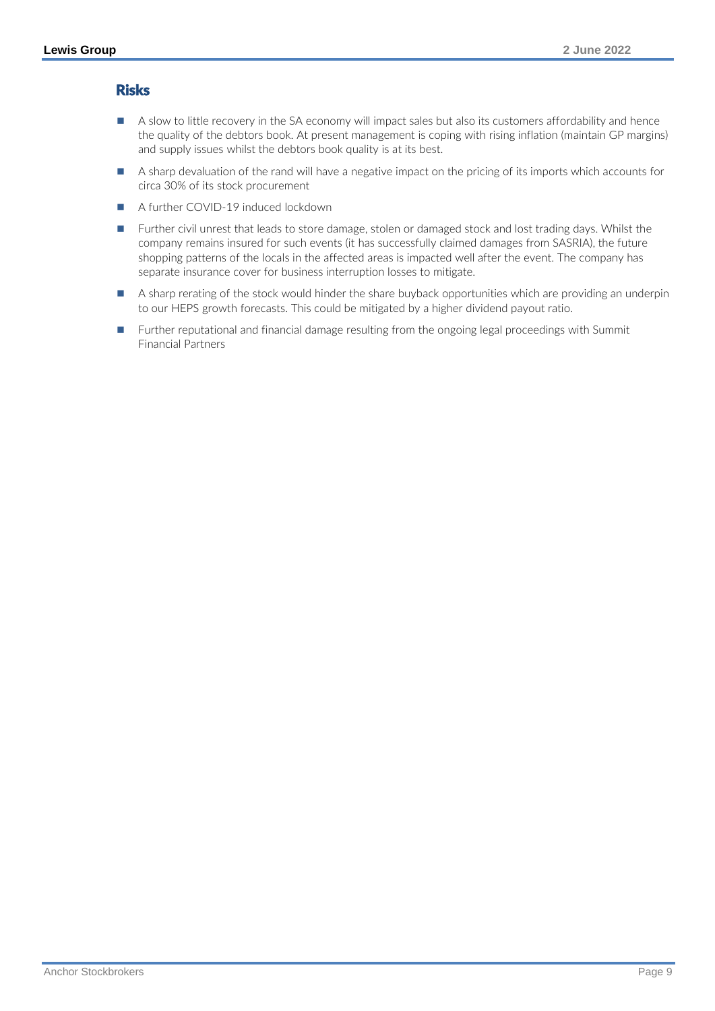# Risks

- A slow to little recovery in the SA economy will impact sales but also its customers affordability and hence the quality of the debtors book. At present management is coping with rising inflation (maintain GP margins) and supply issues whilst the debtors book quality is at its best.
- A sharp devaluation of the rand will have a negative impact on the pricing of its imports which accounts for circa 30% of its stock procurement
- A further COVID-19 induced lockdown
- Further civil unrest that leads to store damage, stolen or damaged stock and lost trading days. Whilst the company remains insured for such events (it has successfully claimed damages from SASRIA), the future shopping patterns of the locals in the affected areas is impacted well after the event. The company has separate insurance cover for business interruption losses to mitigate.
- A sharp rerating of the stock would hinder the share buyback opportunities which are providing an underpin to our HEPS growth forecasts. This could be mitigated by a higher dividend payout ratio.
- Further reputational and financial damage resulting from the ongoing legal proceedings with Summit Financial Partners